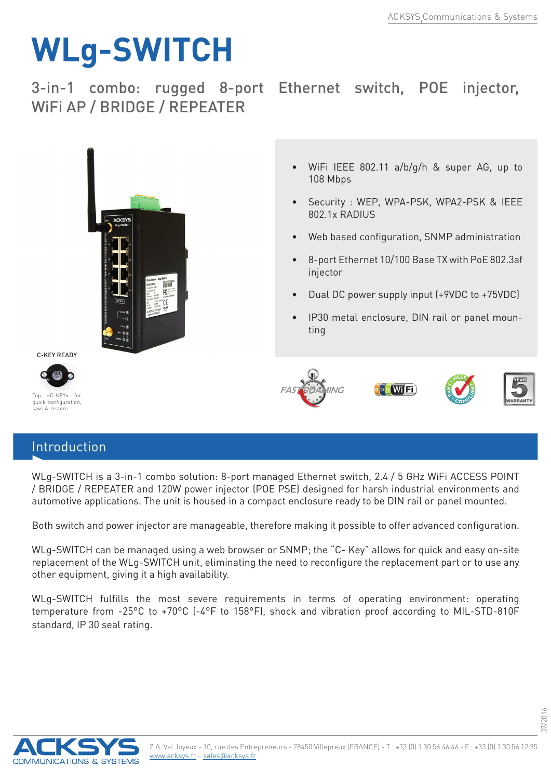## **WLg-SWITCH**

3-in-1 combo: rugged 8-port Ethernet switch, POE injector, WiFi AP / BRIDGE / REPEATER



## Introduction

WLg-SWITCH is a 3-in-1 combo solution: 8-port managed Ethernet switch, 2.4 / 5 GHz WiFi ACCESS POINT / BRIDGE / REPEATER and 120W power injector (POE PSE) designed for harsh industrial environments and automotive applications. The unit is housed in a compact enclosure ready to be DIN rail or panel mounted.

Both switch and power injector are manageable, therefore making it possible to offer advanced configuration.

WLg-SWITCH can be managed using a web browser or SNMP; the "C- Key" allows for quick and easy on-site replacement of the WLg-SWITCH unit, eliminating the need to reconfigure the replacement part or to use any other equipment, giving it a high availability.

WLg-SWITCH fulfills the most severe requirements in terms of operating environment: operating temperature from -25°C to +70°C (-4°F to 158°F), shock and vibration proof according to MIL-STD-810F standard, IP 30 seal rating.



07/2016